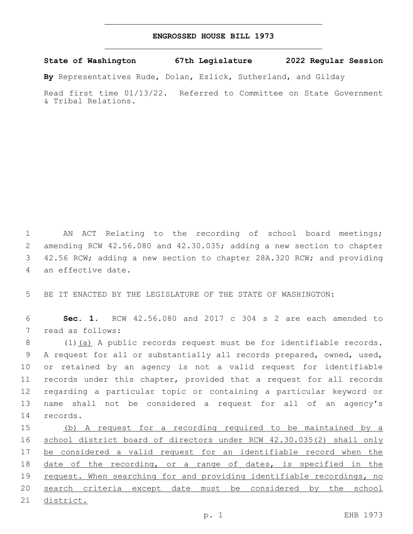## **ENGROSSED HOUSE BILL 1973**

**State of Washington 67th Legislature 2022 Regular Session**

**By** Representatives Rude, Dolan, Eslick, Sutherland, and Gilday

Read first time 01/13/22. Referred to Committee on State Government & Tribal Relations.

1 AN ACT Relating to the recording of school board meetings; 2 amending RCW 42.56.080 and 42.30.035; adding a new section to chapter 3 42.56 RCW; adding a new section to chapter 28A.320 RCW; and providing 4 an effective date.

5 BE IT ENACTED BY THE LEGISLATURE OF THE STATE OF WASHINGTON:

6 **Sec. 1.** RCW 42.56.080 and 2017 c 304 s 2 are each amended to 7 read as follows:

8 (1) (a) A public records request must be for identifiable records. 9 A request for all or substantially all records prepared, owned, used, 10 or retained by an agency is not a valid request for identifiable 11 records under this chapter, provided that a request for all records 12 regarding a particular topic or containing a particular keyword or 13 name shall not be considered a request for all of an agency's 14 records.

15 (b) A request for a recording required to be maintained by a 16 school district board of directors under RCW 42.30.035(2) shall only 17 be considered a valid request for an identifiable record when the 18 date of the recording, or a range of dates, is specified in the 19 request. When searching for and providing identifiable recordings, no 20 search criteria except date must be considered by the school 21 district.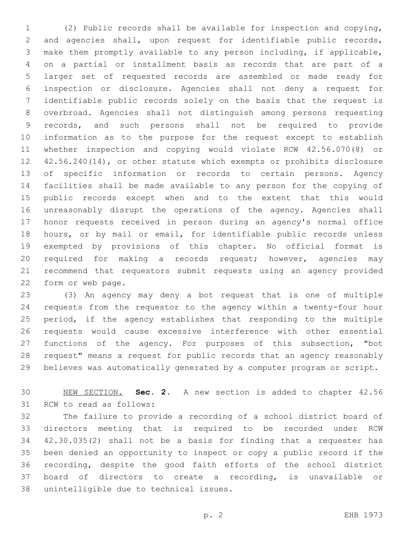(2) Public records shall be available for inspection and copying, and agencies shall, upon request for identifiable public records, make them promptly available to any person including, if applicable, on a partial or installment basis as records that are part of a larger set of requested records are assembled or made ready for inspection or disclosure. Agencies shall not deny a request for identifiable public records solely on the basis that the request is overbroad. Agencies shall not distinguish among persons requesting records, and such persons shall not be required to provide information as to the purpose for the request except to establish whether inspection and copying would violate RCW 42.56.070(8) or 42.56.240(14), or other statute which exempts or prohibits disclosure of specific information or records to certain persons. Agency facilities shall be made available to any person for the copying of public records except when and to the extent that this would unreasonably disrupt the operations of the agency. Agencies shall honor requests received in person during an agency's normal office hours, or by mail or email, for identifiable public records unless exempted by provisions of this chapter. No official format is required for making a records request; however, agencies may recommend that requestors submit requests using an agency provided 22 form or web page.

 (3) An agency may deny a bot request that is one of multiple requests from the requestor to the agency within a twenty-four hour period, if the agency establishes that responding to the multiple requests would cause excessive interference with other essential functions of the agency. For purposes of this subsection, "bot request" means a request for public records that an agency reasonably believes was automatically generated by a computer program or script.

 NEW SECTION. **Sec. 2.** A new section is added to chapter 42.56 31 RCW to read as follows:

 The failure to provide a recording of a school district board of directors meeting that is required to be recorded under RCW 42.30.035(2) shall not be a basis for finding that a requester has been denied an opportunity to inspect or copy a public record if the recording, despite the good faith efforts of the school district board of directors to create a recording, is unavailable or 38 unintelligible due to technical issues.